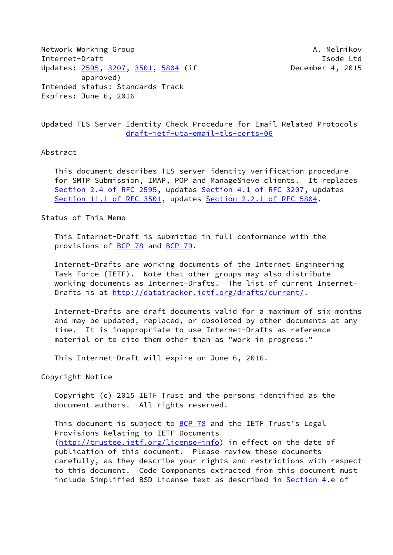Network Working Group **A. Melnikov** A. Melnikov Internet-Draft **Isolat Isom and Isom and Isolat Isolat Isolat Isolat Isolat Isolat Isolat Isolat Isolat Isolat Isolat Isolat Isolat Isolat Isolat Isolat Isolat Isolat Isolat Isolat Isolat Isolat Isolat Isolat Isolat Isolat** Updates: [2595](https://datatracker.ietf.org/doc/pdf/rfc2595), [3207,](https://datatracker.ietf.org/doc/pdf/rfc3207) [3501](https://datatracker.ietf.org/doc/pdf/rfc3501), [5804](https://datatracker.ietf.org/doc/pdf/rfc5804) (if December 4, 2015 approved) Intended status: Standards Track Expires: June 6, 2016

Updated TLS Server Identity Check Procedure for Email Related Protocols [draft-ietf-uta-email-tls-certs-06](https://datatracker.ietf.org/doc/pdf/draft-ietf-uta-email-tls-certs-06)

## Abstract

 This document describes TLS server identity verification procedure for SMTP Submission, IMAP, POP and ManageSieve clients. It replaces Section [2.4 of RFC 2595](https://datatracker.ietf.org/doc/pdf/rfc2595#section-2.4), updates Section [4.1 of RFC 3207](https://datatracker.ietf.org/doc/pdf/rfc3207#section-4.1), updates Section [11.1 of RFC 3501](https://datatracker.ietf.org/doc/pdf/rfc3501#section-11.1), updates Section [2.2.1 of RFC 5804.](https://datatracker.ietf.org/doc/pdf/rfc5804#section-2.2.1)

Status of This Memo

 This Internet-Draft is submitted in full conformance with the provisions of [BCP 78](https://datatracker.ietf.org/doc/pdf/bcp78) and [BCP 79](https://datatracker.ietf.org/doc/pdf/bcp79).

 Internet-Drafts are working documents of the Internet Engineering Task Force (IETF). Note that other groups may also distribute working documents as Internet-Drafts. The list of current Internet Drafts is at<http://datatracker.ietf.org/drafts/current/>.

 Internet-Drafts are draft documents valid for a maximum of six months and may be updated, replaced, or obsoleted by other documents at any time. It is inappropriate to use Internet-Drafts as reference material or to cite them other than as "work in progress."

This Internet-Draft will expire on June 6, 2016.

Copyright Notice

 Copyright (c) 2015 IETF Trust and the persons identified as the document authors. All rights reserved.

This document is subject to **[BCP 78](https://datatracker.ietf.org/doc/pdf/bcp78)** and the IETF Trust's Legal Provisions Relating to IETF Documents [\(http://trustee.ietf.org/license-info](http://trustee.ietf.org/license-info)) in effect on the date of publication of this document. Please review these documents carefully, as they describe your rights and restrictions with respect to this document. Code Components extracted from this document must include Simplified BSD License text as described in [Section 4.](#page-4-0)e of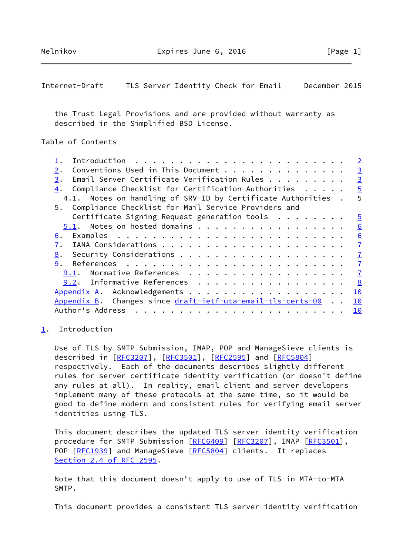<span id="page-1-1"></span>Internet-Draft TLS Server Identity Check for Email December 2015

 the Trust Legal Provisions and are provided without warranty as described in the Simplified BSD License.

```
Table of Contents
```

|                                                              | $\overline{2}$  |
|--------------------------------------------------------------|-----------------|
| Conventions Used in This Document<br>2.                      | $\overline{3}$  |
| Email Server Certificate Verification Rules<br>3.            | $\overline{3}$  |
| Compliance Checklist for Certification Authorities<br>4.     | $\overline{5}$  |
| 4.1. Notes on handling of SRV-ID by Certificate Authorities. | 5               |
| 5. Compliance Checklist for Mail Service Providers and       |                 |
| Certificate Signing Request generation tools                 | $\overline{5}$  |
| 5.1. Notes on hosted domains                                 | $\underline{6}$ |
| 6.                                                           | 6               |
| 7.                                                           | $\overline{1}$  |
| 8.                                                           | $\mathbf I$     |
| 9.                                                           | $\mathbf{I}$    |
| Normative References<br>9.1.                                 | $\overline{1}$  |
| 9.2. Informative References                                  | 8               |
| Appendix A. Acknowledgements                                 | 10              |
| Appendix B. Changes since draft-ietf-uta-email-tls-certs-00  | 10              |
| Author's Address<br>.                                        | 10              |
|                                                              |                 |

## <span id="page-1-0"></span>[1](#page-1-0). Introduction

 Use of TLS by SMTP Submission, IMAP, POP and ManageSieve clients is described in [\[RFC3207](https://datatracker.ietf.org/doc/pdf/rfc3207)], [\[RFC3501](https://datatracker.ietf.org/doc/pdf/rfc3501)], [[RFC2595\]](https://datatracker.ietf.org/doc/pdf/rfc2595) and [\[RFC5804](https://datatracker.ietf.org/doc/pdf/rfc5804)] respectively. Each of the documents describes slightly different rules for server certificate identity verification (or doesn't define any rules at all). In reality, email client and server developers implement many of these protocols at the same time, so it would be good to define modern and consistent rules for verifying email server identities using TLS.

 This document describes the updated TLS server identity verification procedure for SMTP Submission [[RFC6409](https://datatracker.ietf.org/doc/pdf/rfc6409)] [\[RFC3207](https://datatracker.ietf.org/doc/pdf/rfc3207)], IMAP [\[RFC3501](https://datatracker.ietf.org/doc/pdf/rfc3501)], POP [\[RFC1939](https://datatracker.ietf.org/doc/pdf/rfc1939)] and ManageSieve [[RFC5804](https://datatracker.ietf.org/doc/pdf/rfc5804)] clients. It replaces Section [2.4 of RFC 2595](https://datatracker.ietf.org/doc/pdf/rfc2595#section-2.4).

 Note that this document doesn't apply to use of TLS in MTA-to-MTA SMTP.

This document provides a consistent TLS server identity verification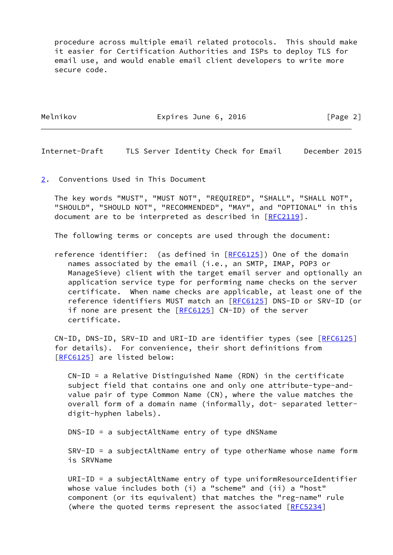procedure across multiple email related protocols. This should make it easier for Certification Authorities and ISPs to deploy TLS for email use, and would enable email client developers to write more secure code.

Melnikov **Expires June 6, 2016** [Page 2]

<span id="page-2-1"></span>Internet-Draft TLS Server Identity Check for Email December 2015

<span id="page-2-0"></span>[2](#page-2-0). Conventions Used in This Document

 The key words "MUST", "MUST NOT", "REQUIRED", "SHALL", "SHALL NOT", "SHOULD", "SHOULD NOT", "RECOMMENDED", "MAY", and "OPTIONAL" in this document are to be interpreted as described in [\[RFC2119](https://datatracker.ietf.org/doc/pdf/rfc2119)].

The following terms or concepts are used through the document:

 reference identifier: (as defined in [[RFC6125](https://datatracker.ietf.org/doc/pdf/rfc6125)]) One of the domain names associated by the email (i.e., an SMTP, IMAP, POP3 or ManageSieve) client with the target email server and optionally an application service type for performing name checks on the server certificate. When name checks are applicable, at least one of the reference identifiers MUST match an [\[RFC6125](https://datatracker.ietf.org/doc/pdf/rfc6125)] DNS-ID or SRV-ID (or if none are present the [[RFC6125\]](https://datatracker.ietf.org/doc/pdf/rfc6125) CN-ID) of the server certificate.

 CN-ID, DNS-ID, SRV-ID and URI-ID are identifier types (see [[RFC6125\]](https://datatracker.ietf.org/doc/pdf/rfc6125) for details). For convenience, their short definitions from [\[RFC6125](https://datatracker.ietf.org/doc/pdf/rfc6125)] are listed below:

 CN-ID = a Relative Distinguished Name (RDN) in the certificate subject field that contains one and only one attribute-type-and value pair of type Common Name (CN), where the value matches the overall form of a domain name (informally, dot- separated letter digit-hyphen labels).

DNS-ID = a subjectAltName entry of type dNSName

 SRV-ID = a subjectAltName entry of type otherName whose name form is SRVName

 URI-ID = a subjectAltName entry of type uniformResourceIdentifier whose value includes both (i) a "scheme" and (ii) a "host" component (or its equivalent) that matches the "reg-name" rule (where the quoted terms represent the associated [\[RFC5234](https://datatracker.ietf.org/doc/pdf/rfc5234)]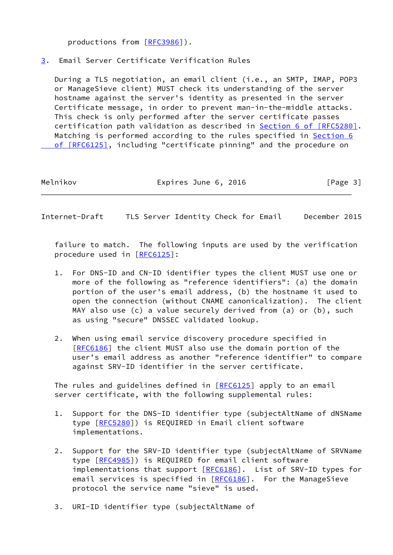productions from [\[RFC3986](https://datatracker.ietf.org/doc/pdf/rfc3986)]).

## <span id="page-3-0"></span>[3](#page-3-0). Email Server Certificate Verification Rules

 During a TLS negotiation, an email client (i.e., an SMTP, IMAP, POP3 or ManageSieve client) MUST check its understanding of the server hostname against the server's identity as presented in the server Certificate message, in order to prevent man-in-the-middle attacks. This check is only performed after the server certificate passes certification path validation as described in **Section [6 of \[RFC5280\]](https://datatracker.ietf.org/doc/pdf/rfc5280#section-6)**. Matching is performed according to the rules specified in [Section](https://datatracker.ietf.org/doc/pdf/rfc6125#section-6) 6 of [RFC6125], including "certificate pinning" and the procedure on

Melnikov **Expires June 6, 2016** [Page 3]

Internet-Draft TLS Server Identity Check for Email December 2015

 failure to match. The following inputs are used by the verification procedure used in [[RFC6125](https://datatracker.ietf.org/doc/pdf/rfc6125)]:

- 1. For DNS-ID and CN-ID identifier types the client MUST use one or more of the following as "reference identifiers": (a) the domain portion of the user's email address, (b) the hostname it used to open the connection (without CNAME canonicalization). The client MAY also use (c) a value securely derived from (a) or (b), such as using "secure" DNSSEC validated lookup.
- 2. When using email service discovery procedure specified in [\[RFC6186](https://datatracker.ietf.org/doc/pdf/rfc6186)] the client MUST also use the domain portion of the user's email address as another "reference identifier" to compare against SRV-ID identifier in the server certificate.

The rules and guidelines defined in [\[RFC6125](https://datatracker.ietf.org/doc/pdf/rfc6125)] apply to an email server certificate, with the following supplemental rules:

- 1. Support for the DNS-ID identifier type (subjectAltName of dNSName type [\[RFC5280](https://datatracker.ietf.org/doc/pdf/rfc5280)]) is REQUIRED in Email client software implementations.
- 2. Support for the SRV-ID identifier type (subjectAltName of SRVName type [\[RFC4985](https://datatracker.ietf.org/doc/pdf/rfc4985)]) is REQUIRED for email client software implementations that support  $[REC6186]$ . List of SRV-ID types for email services is specified in [[RFC6186\]](https://datatracker.ietf.org/doc/pdf/rfc6186). For the ManageSieve protocol the service name "sieve" is used.
- 3. URI-ID identifier type (subjectAltName of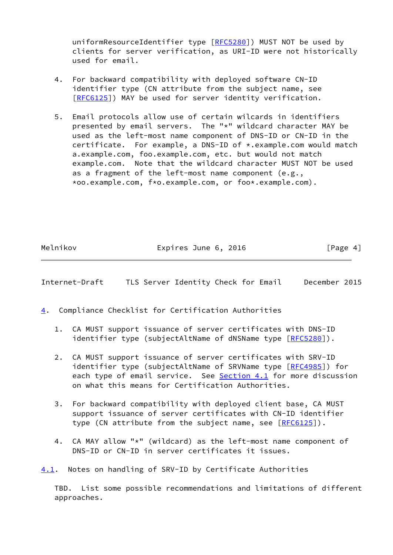uniformResourceIdentifier type [[RFC5280\]](https://datatracker.ietf.org/doc/pdf/rfc5280)) MUST NOT be used by clients for server verification, as URI-ID were not historically used for email.

- 4. For backward compatibility with deployed software CN-ID identifier type (CN attribute from the subject name, see [\[RFC6125](https://datatracker.ietf.org/doc/pdf/rfc6125)]) MAY be used for server identity verification.
- 5. Email protocols allow use of certain wilcards in identifiers presented by email servers. The "\*" wildcard character MAY be used as the left-most name component of DNS-ID or CN-ID in the certificate. For example, a DNS-ID of \*.example.com would match a.example.com, foo.example.com, etc. but would not match example.com. Note that the wildcard character MUST NOT be used as a fragment of the left-most name component (e.g., \*oo.example.com, f\*o.example.com, or foo\*.example.com).

Melnikov **Expires June 6, 2016** [Page 4]

<span id="page-4-1"></span>Internet-Draft TLS Server Identity Check for Email December 2015

- <span id="page-4-0"></span>[4](#page-4-0). Compliance Checklist for Certification Authorities
	- 1. CA MUST support issuance of server certificates with DNS-ID identifier type (subjectAltName of dNSName type [\[RFC5280](https://datatracker.ietf.org/doc/pdf/rfc5280)]).
	- 2. CA MUST support issuance of server certificates with SRV-ID identifier type (subjectAltName of SRVName type [\[RFC4985](https://datatracker.ietf.org/doc/pdf/rfc4985)]) for each type of email service. See [Section 4.1](#page-4-2) for more discussion on what this means for Certification Authorities.
	- 3. For backward compatibility with deployed client base, CA MUST support issuance of server certificates with CN-ID identifier type (CN attribute from the subject name, see [[RFC6125](https://datatracker.ietf.org/doc/pdf/rfc6125)]).
	- 4. CA MAY allow "\*" (wildcard) as the left-most name component of DNS-ID or CN-ID in server certificates it issues.

<span id="page-4-2"></span>[4.1](#page-4-2). Notes on handling of SRV-ID by Certificate Authorities

 TBD. List some possible recommendations and limitations of different approaches.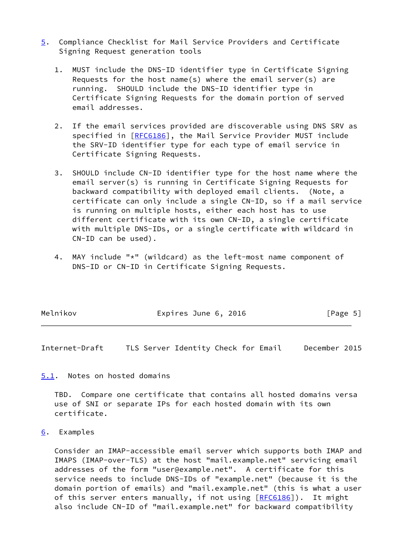- <span id="page-5-3"></span>[5](#page-5-3). Compliance Checklist for Mail Service Providers and Certificate Signing Request generation tools
	- 1. MUST include the DNS-ID identifier type in Certificate Signing Requests for the host name(s) where the email server(s) are running. SHOULD include the DNS-ID identifier type in Certificate Signing Requests for the domain portion of served email addresses.
	- 2. If the email services provided are discoverable using DNS SRV as specified in [\[RFC6186](https://datatracker.ietf.org/doc/pdf/rfc6186)], the Mail Service Provider MUST include the SRV-ID identifier type for each type of email service in Certificate Signing Requests.
	- 3. SHOULD include CN-ID identifier type for the host name where the email server(s) is running in Certificate Signing Requests for backward compatibility with deployed email clients. (Note, a certificate can only include a single CN-ID, so if a mail service is running on multiple hosts, either each host has to use different certificate with its own CN-ID, a single certificate with multiple DNS-IDs, or a single certificate with wildcard in CN-ID can be used).
	- 4. MAY include "\*" (wildcard) as the left-most name component of DNS-ID or CN-ID in Certificate Signing Requests.

| Melnikov | Expires June 6, 2016 | [Page 5] |
|----------|----------------------|----------|
|          |                      |          |

<span id="page-5-1"></span>Internet-Draft TLS Server Identity Check for Email December 2015

<span id="page-5-0"></span>[5.1](#page-5-0). Notes on hosted domains

 TBD. Compare one certificate that contains all hosted domains versa use of SNI or separate IPs for each hosted domain with its own certificate.

<span id="page-5-2"></span>[6](#page-5-2). Examples

 Consider an IMAP-accessible email server which supports both IMAP and IMAPS (IMAP-over-TLS) at the host "mail.example.net" servicing email addresses of the form "user@example.net". A certificate for this service needs to include DNS-IDs of "example.net" (because it is the domain portion of emails) and "mail.example.net" (this is what a user of this server enters manually, if not using [\[RFC6186](https://datatracker.ietf.org/doc/pdf/rfc6186)]). It might also include CN-ID of "mail.example.net" for backward compatibility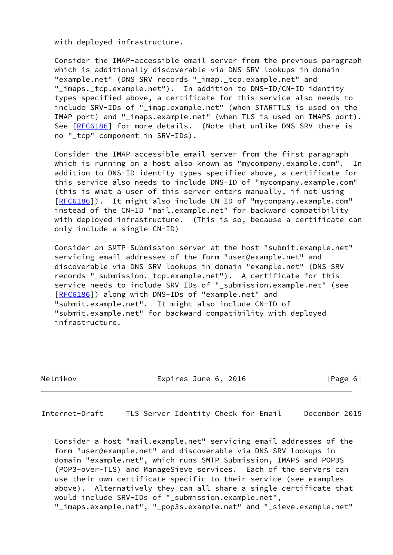with deployed infrastructure.

 Consider the IMAP-accessible email server from the previous paragraph which is additionally discoverable via DNS SRV lookups in domain "example.net" (DNS SRV records "\_imap.\_tcp.example.net" and "\_imaps.\_tcp.example.net"). In addition to DNS-ID/CN-ID identity types specified above, a certificate for this service also needs to include SRV-IDs of "\_imap.example.net" (when STARTTLS is used on the IMAP port) and "\_imaps.example.net" (when TLS is used on IMAPS port). See [\[RFC6186](https://datatracker.ietf.org/doc/pdf/rfc6186)] for more details. (Note that unlike DNS SRV there is no "\_tcp" component in SRV-IDs).

 Consider the IMAP-accessible email server from the first paragraph which is running on a host also known as "mycompany.example.com". In addition to DNS-ID identity types specified above, a certificate for this service also needs to include DNS-ID of "mycompany.example.com" (this is what a user of this server enters manually, if not using [\[RFC6186](https://datatracker.ietf.org/doc/pdf/rfc6186)]). It might also include CN-ID of "mycompany.example.com" instead of the CN-ID "mail.example.net" for backward compatibility with deployed infrastructure. (This is so, because a certificate can only include a single CN-ID)

 Consider an SMTP Submission server at the host "submit.example.net" servicing email addresses of the form "user@example.net" and discoverable via DNS SRV lookups in domain "example.net" (DNS SRV records "\_submission.\_tcp.example.net"). A certificate for this service needs to include SRV-IDs of "\_submission.example.net" (see [\[RFC6186](https://datatracker.ietf.org/doc/pdf/rfc6186)]) along with DNS-IDs of "example.net" and "submit.example.net". It might also include CN-ID of "submit.example.net" for backward compatibility with deployed infrastructure.

|  | Melnikov |
|--|----------|
|  |          |

Expires June 6, 2016 [Page 6]

<span id="page-6-0"></span>Internet-Draft TLS Server Identity Check for Email December 2015

 Consider a host "mail.example.net" servicing email addresses of the form "user@example.net" and discoverable via DNS SRV lookups in domain "example.net", which runs SMTP Submission, IMAPS and POP3S (POP3-over-TLS) and ManageSieve services. Each of the servers can use their own certificate specific to their service (see examples above). Alternatively they can all share a single certificate that would include SRV-IDs of "\_submission.example.net", "\_imaps.example.net", "\_pop3s.example.net" and "\_sieve.example.net"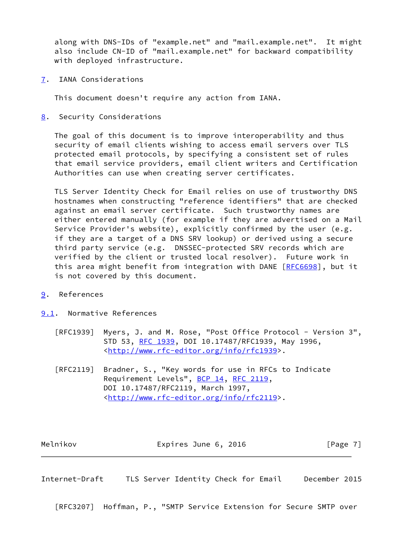along with DNS-IDs of "example.net" and "mail.example.net". It might also include CN-ID of "mail.example.net" for backward compatibility with deployed infrastructure.

<span id="page-7-0"></span>[7](#page-7-0). IANA Considerations

This document doesn't require any action from IANA.

<span id="page-7-1"></span>[8](#page-7-1). Security Considerations

 The goal of this document is to improve interoperability and thus security of email clients wishing to access email servers over TLS protected email protocols, by specifying a consistent set of rules that email service providers, email client writers and Certification Authorities can use when creating server certificates.

 TLS Server Identity Check for Email relies on use of trustworthy DNS hostnames when constructing "reference identifiers" that are checked against an email server certificate. Such trustworthy names are either entered manually (for example if they are advertised on a Mail Service Provider's website), explicitly confirmed by the user (e.g. if they are a target of a DNS SRV lookup) or derived using a secure third party service (e.g. DNSSEC-protected SRV records which are verified by the client or trusted local resolver). Future work in this area might benefit from integration with DANE [[RFC6698\]](https://datatracker.ietf.org/doc/pdf/rfc6698), but it is not covered by this document.

- <span id="page-7-2"></span>[9](#page-7-2). References
- <span id="page-7-3"></span>[9.1](#page-7-3). Normative References
	- [RFC1939] Myers, J. and M. Rose, "Post Office Protocol Version 3", STD 53, [RFC 1939,](https://datatracker.ietf.org/doc/pdf/rfc1939) DOI 10.17487/RFC1939, May 1996, <<http://www.rfc-editor.org/info/rfc1939>>.
	- [RFC2119] Bradner, S., "Key words for use in RFCs to Indicate Requirement Levels", [BCP 14](https://datatracker.ietf.org/doc/pdf/bcp14), [RFC 2119](https://datatracker.ietf.org/doc/pdf/rfc2119), DOI 10.17487/RFC2119, March 1997, <<http://www.rfc-editor.org/info/rfc2119>>.

Melnikov **Expires June 6, 2016** [Page 7]

<span id="page-7-4"></span>Internet-Draft TLS Server Identity Check for Email December 2015

[RFC3207] Hoffman, P., "SMTP Service Extension for Secure SMTP over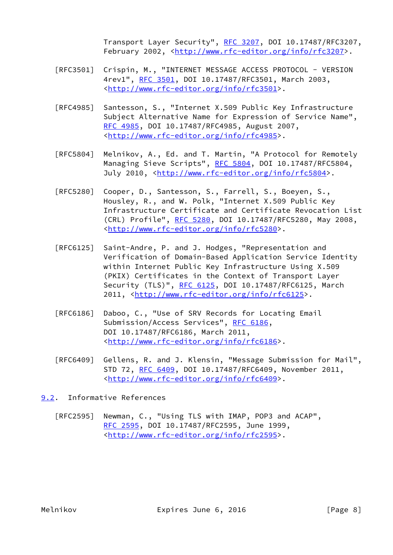Transport Layer Security", [RFC 3207](https://datatracker.ietf.org/doc/pdf/rfc3207), DOI 10.17487/RFC3207, February 2002, <<http://www.rfc-editor.org/info/rfc3207>>.

- [RFC3501] Crispin, M., "INTERNET MESSAGE ACCESS PROTOCOL VERSION 4rev1", [RFC 3501,](https://datatracker.ietf.org/doc/pdf/rfc3501) DOI 10.17487/RFC3501, March 2003, <<http://www.rfc-editor.org/info/rfc3501>>.
- [RFC4985] Santesson, S., "Internet X.509 Public Key Infrastructure Subject Alternative Name for Expression of Service Name", [RFC 4985,](https://datatracker.ietf.org/doc/pdf/rfc4985) DOI 10.17487/RFC4985, August 2007, <<http://www.rfc-editor.org/info/rfc4985>>.
- [RFC5804] Melnikov, A., Ed. and T. Martin, "A Protocol for Remotely Managing Sieve Scripts", [RFC 5804,](https://datatracker.ietf.org/doc/pdf/rfc5804) DOI 10.17487/RFC5804, July 2010, <<http://www.rfc-editor.org/info/rfc5804>>.
- [RFC5280] Cooper, D., Santesson, S., Farrell, S., Boeyen, S., Housley, R., and W. Polk, "Internet X.509 Public Key Infrastructure Certificate and Certificate Revocation List (CRL) Profile", [RFC 5280,](https://datatracker.ietf.org/doc/pdf/rfc5280) DOI 10.17487/RFC5280, May 2008, <<http://www.rfc-editor.org/info/rfc5280>>.
- [RFC6125] Saint-Andre, P. and J. Hodges, "Representation and Verification of Domain-Based Application Service Identity within Internet Public Key Infrastructure Using X.509 (PKIX) Certificates in the Context of Transport Layer Security (TLS)", [RFC 6125,](https://datatracker.ietf.org/doc/pdf/rfc6125) DOI 10.17487/RFC6125, March 2011, [<http://www.rfc-editor.org/info/rfc6125](http://www.rfc-editor.org/info/rfc6125)>.
- [RFC6186] Daboo, C., "Use of SRV Records for Locating Email Submission/Access Services", [RFC 6186](https://datatracker.ietf.org/doc/pdf/rfc6186), DOI 10.17487/RFC6186, March 2011, <<http://www.rfc-editor.org/info/rfc6186>>.
- [RFC6409] Gellens, R. and J. Klensin, "Message Submission for Mail", STD 72, [RFC 6409,](https://datatracker.ietf.org/doc/pdf/rfc6409) DOI 10.17487/RFC6409, November 2011, <<http://www.rfc-editor.org/info/rfc6409>>.
- <span id="page-8-0"></span>[9.2](#page-8-0). Informative References
	- [RFC2595] Newman, C., "Using TLS with IMAP, POP3 and ACAP", [RFC 2595,](https://datatracker.ietf.org/doc/pdf/rfc2595) DOI 10.17487/RFC2595, June 1999, <<http://www.rfc-editor.org/info/rfc2595>>.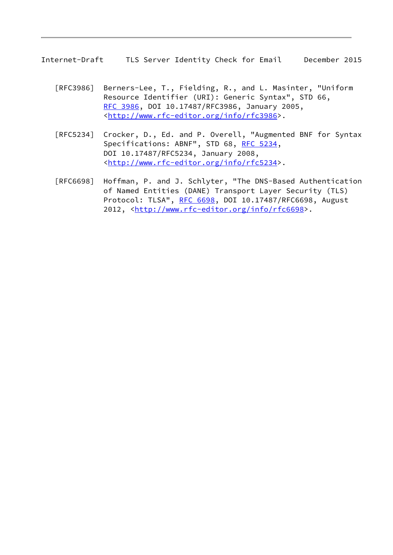Internet-Draft TLS Server Identity Check for Email December 2015

- [RFC3986] Berners-Lee, T., Fielding, R., and L. Masinter, "Uniform Resource Identifier (URI): Generic Syntax", STD 66, [RFC 3986,](https://datatracker.ietf.org/doc/pdf/rfc3986) DOI 10.17487/RFC3986, January 2005, <<http://www.rfc-editor.org/info/rfc3986>>.
- [RFC5234] Crocker, D., Ed. and P. Overell, "Augmented BNF for Syntax Specifications: ABNF", STD 68, [RFC 5234](https://datatracker.ietf.org/doc/pdf/rfc5234), DOI 10.17487/RFC5234, January 2008, <<http://www.rfc-editor.org/info/rfc5234>>.
- [RFC6698] Hoffman, P. and J. Schlyter, "The DNS-Based Authentication of Named Entities (DANE) Transport Layer Security (TLS) Protocol: TLSA", [RFC 6698,](https://datatracker.ietf.org/doc/pdf/rfc6698) DOI 10.17487/RFC6698, August 2012, [<http://www.rfc-editor.org/info/rfc6698](http://www.rfc-editor.org/info/rfc6698)>.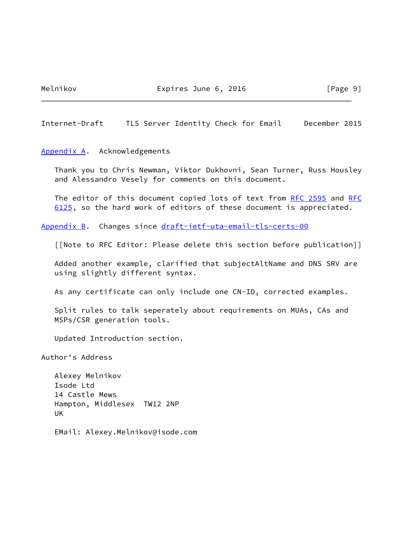Melnikov **Expires June 6, 2016** [Page 9]

<span id="page-10-1"></span>Internet-Draft TLS Server Identity Check for Email December 2015

<span id="page-10-0"></span>[Appendix A.](#page-10-0) Acknowledgements

 Thank you to Chris Newman, Viktor Dukhovni, Sean Turner, Russ Housley and Alessandro Vesely for comments on this document.

The editor of this document copied lots of text from [RFC 2595](https://datatracker.ietf.org/doc/pdf/rfc2595) and [RFC](https://datatracker.ietf.org/doc/pdf/rfc6125) [6125](https://datatracker.ietf.org/doc/pdf/rfc6125), so the hard work of editors of these document is appreciated.

<span id="page-10-2"></span>[Appendix B.](#page-10-2) Changes since [draft-ietf-uta-email-tls-certs-00](https://datatracker.ietf.org/doc/pdf/draft-ietf-uta-email-tls-certs-00)

[[Note to RFC Editor: Please delete this section before publication]]

 Added another example, clarified that subjectAltName and DNS SRV are using slightly different syntax.

As any certificate can only include one CN-ID, corrected examples.

 Split rules to talk seperately about requirements on MUAs, CAs and MSPs/CSR generation tools.

Updated Introduction section.

Author's Address

 Alexey Melnikov Isode Ltd 14 Castle Mews Hampton, Middlesex TW12 2NP UK

EMail: Alexey.Melnikov@isode.com